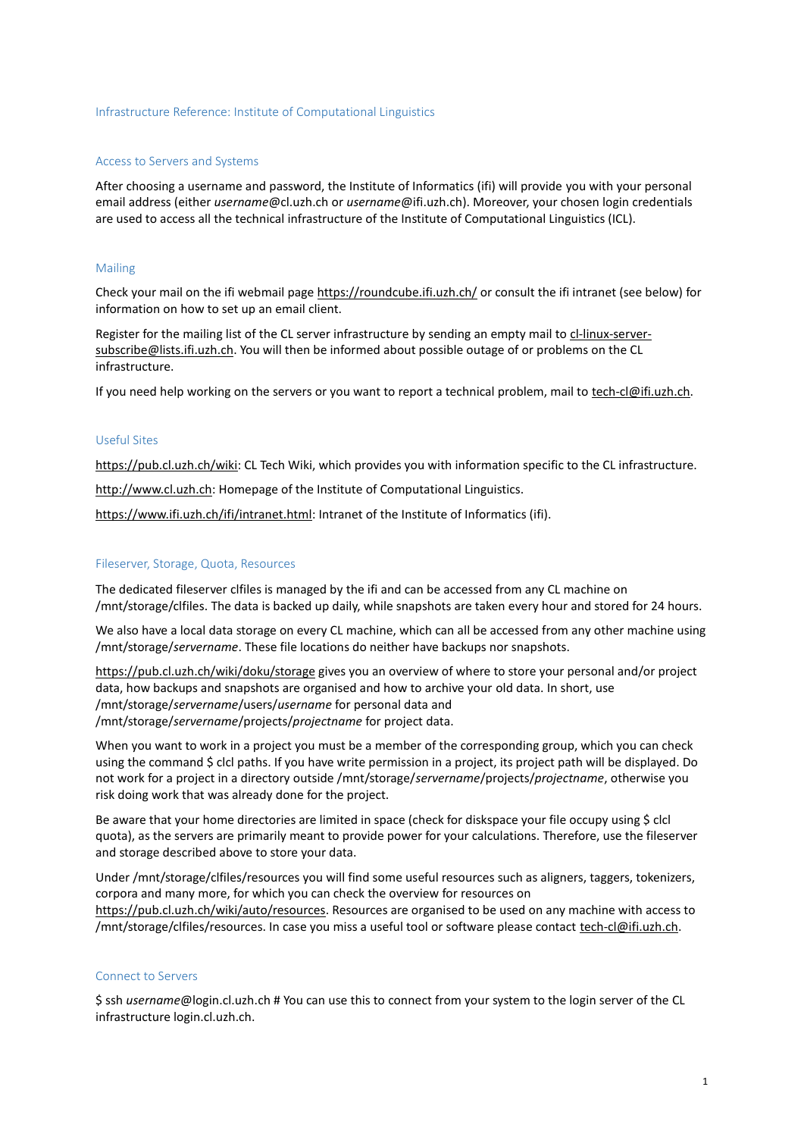## Infrastructure Reference: Institute of Computational Linguistics

#### Access to Servers and Systems

After choosing a username and password, the Institute of Informatics (ifi) will provide you with your personal email address (either *[username](mailto:username@cl.uzh.ch)*[@cl.uzh.ch](mailto:username@cl.uzh.ch) or *[username](mailto:username@cl.uzh.ch)*[@ifi.uzh.ch\)](mailto:username@cl.uzh.ch). Moreover, your chosen login credentials are used to access all the technical infrastructure of the Institute of Computational Linguistics (ICL).

### Mailing

Check your mail on the ifi webmail page<https://roundcube.ifi.uzh.ch/> or consult the ifi intranet (see below) for information on how to set up an email client.

Register for the mailing list of the CL server infrastructure by sending an empty mail to [cl-linux-server](mailto:cl-linux-server-subscribe@lists.ifi.uzh.ch)[subscribe@lists.ifi.uzh.ch.](mailto:cl-linux-server-subscribe@lists.ifi.uzh.ch) You will then be informed about possible outage of or problems on the CL infrastructure.

If you need help working on the servers or you want to report a technical problem, mail to [tech-cl@ifi.uzh.ch.](mailto:tech-cl@ifi.uzh.ch)

# Useful Sites

[https://pub.cl.uzh.ch/wiki:](https://pub.cl.uzh.ch/wiki) CL Tech Wiki, which provides you with information specific to the CL infrastructure.

[http://www.cl.uzh.ch:](http://www.cl.uzh.ch/) Homepage of the Institute of Computational Linguistics.

[https://www.ifi.uzh.ch/ifi/intranet.html:](https://www.ifi.uzh.ch/ifi/intranet.html) Intranet of the Institute of Informatics (ifi).

#### Fileserver, Storage, Quota, Resources

The dedicated fileserver clfiles is managed by the ifi and can be accessed from any CL machine on /mnt/storage/clfiles. The data is backed up daily, while snapshots are taken every hour and stored for 24 hours.

We also have a local data storage on every CL machine, which can all be accessed from any other machine using /mnt/storage/*servername*. These file locations do neither have backups nor snapshots.

<https://pub.cl.uzh.ch/wiki/doku/storage> gives you an overview of where to store your personal and/or project data, how backups and snapshots are organised and how to archive your old data. In short, use /mnt/storage/*servername*/users/*username* for personal data and /mnt/storage/*servername*/projects/*projectname* for project data.

When you want to work in a project you must be a member of the corresponding group, which you can check using the command \$ clcl paths. If you have write permission in a project, its project path will be displayed. Do not work for a project in a directory outside /mnt/storage/*servername*/projects/*projectname*, otherwise you risk doing work that was already done for the project.

Be aware that your home directories are limited in space (check for diskspace your file occupy using \$ clcl quota), as the servers are primarily meant to provide power for your calculations. Therefore, use the fileserver and storage described above to store your data.

Under /mnt/storage/clfiles/resources you will find some useful resources such as aligners, taggers, tokenizers, corpora and many more, for which you can check the overview for resources on [https://pub.cl.uzh.ch/wiki/auto/resources.](https://pub.cl.uzh.ch/wiki/auto/resources) Resources are organised to be used on any machine with access to /mnt/storage/clfiles/resources. In case you miss a useful tool or software please contact [tech-cl@ifi.uzh.ch.](mailto:tech-cl@ifi.uzh.ch)

### Connect to Servers

\$ ssh *username*@login.cl.uzh.ch # You can use this to connect from your system to the login server of the CL infrastructure login.cl.uzh.ch.